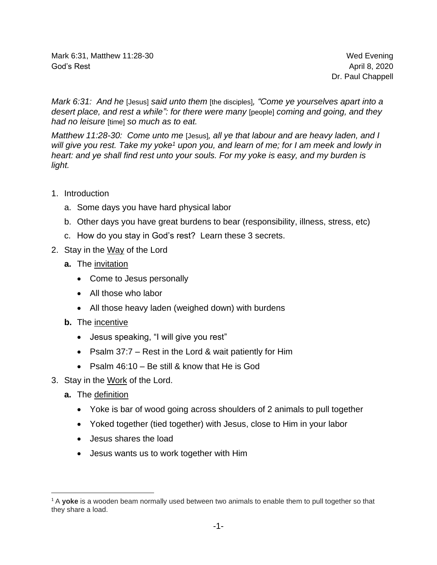Mark 6:31, Matthew 11:28-30 Mark 6:31, Matthew 11:28-30 God's Rest April 8, 2020

Dr. Paul Chappell

*Mark 6:31: And he* [Jesus] *said unto them* [the disciples]*, "Come ye yourselves apart into a desert place, and rest a while": for there were many* [people] *coming and going, and they had no leisure* [time] *so much as to eat.*

*Matthew 11:28-30: Come unto me* [Jesus]*, all ye that labour and are heavy laden, and I will give you rest. Take my yoke<sup>1</sup> upon you, and learn of me; for I am meek and lowly in heart: and ye shall find rest unto your souls. For my yoke is easy, and my burden is light.*

- 1. Introduction
	- a. Some days you have hard physical labor
	- b. Other days you have great burdens to bear (responsibility, illness, stress, etc)
	- c. How do you stay in God's rest? Learn these 3 secrets.
- 2. Stay in the Way of the Lord
	- **a.** The invitation
		- Come to Jesus personally
		- All those who labor
		- All those heavy laden (weighed down) with burdens
	- **b.** The incentive
		- Jesus speaking, "I will give you rest"
		- Psalm 37:7 Rest in the Lord & wait patiently for Him
		- Psalm 46:10 Be still & know that He is God
- 3. Stay in the Work of the Lord.
	- **a.** The definition
		- Yoke is bar of wood going across shoulders of 2 animals to pull together
		- Yoked together (tied together) with Jesus, close to Him in your labor
		- Jesus shares the load
		- Jesus wants us to work together with Him

<sup>1</sup> A **yoke** is a wooden beam normally used between two animals to enable them to pull together so that they share a load.